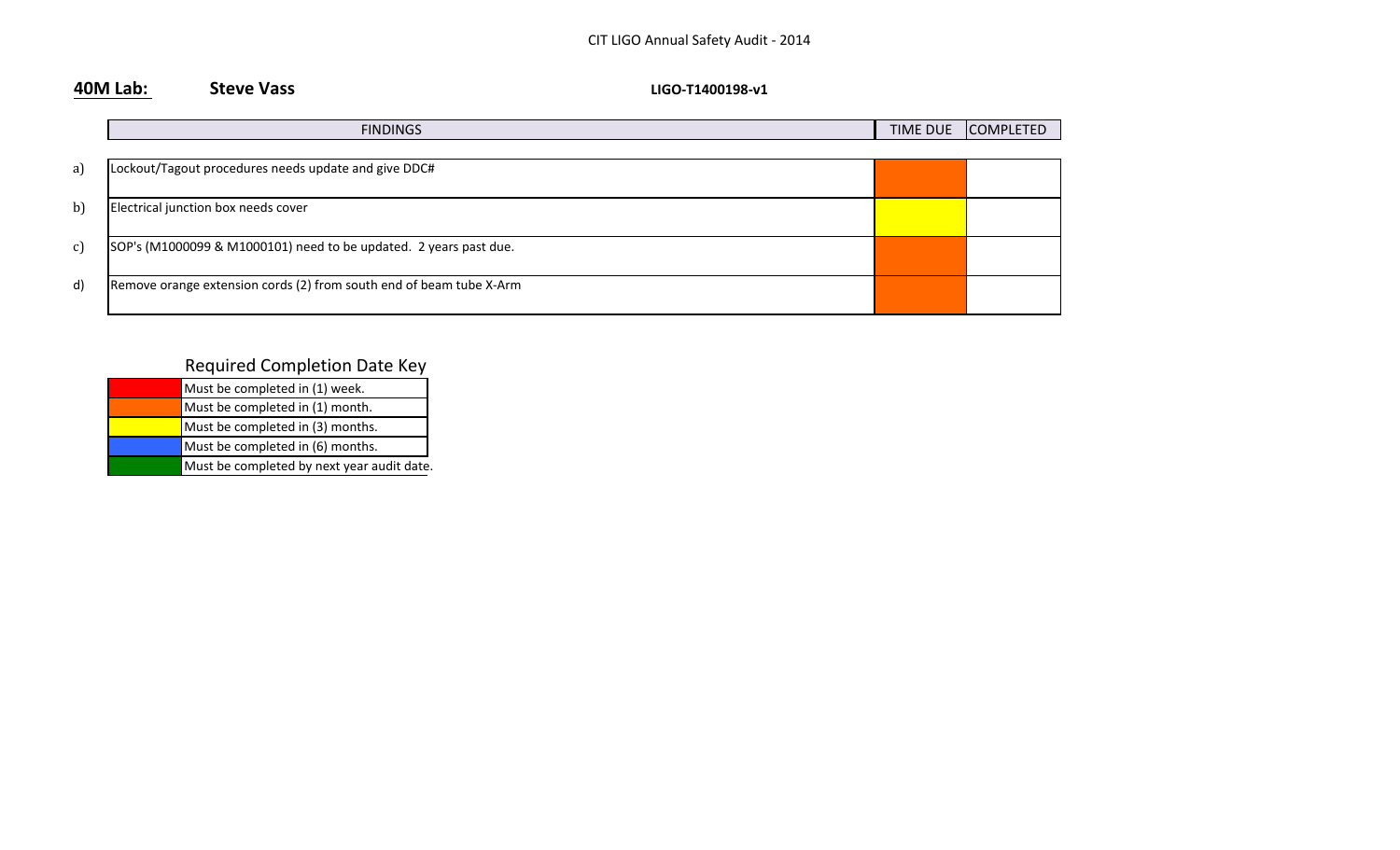**40M Lab:** Steve Vass **COVID-1400198-V1** 

|               | <b>FINDINGS</b>                                                     | <b>TIME DUE</b> | <b>COMPLETED</b> |
|---------------|---------------------------------------------------------------------|-----------------|------------------|
|               |                                                                     |                 |                  |
| a)            | Lockout/Tagout procedures needs update and give DDC#                |                 |                  |
|               |                                                                     |                 |                  |
| $\mathbf{b}$  | Electrical junction box needs cover                                 |                 |                  |
|               |                                                                     |                 |                  |
| $\mathbf{c})$ | SOP's (M1000099 & M1000101) need to be updated. 2 years past due.   |                 |                  |
|               |                                                                     |                 |                  |
| d)            | Remove orange extension cords (2) from south end of beam tube X-Arm |                 |                  |
|               |                                                                     |                 |                  |

| Must be completed in (1) week.             |
|--------------------------------------------|
| Must be completed in (1) month.            |
| Must be completed in (3) months.           |
| Must be completed in (6) months.           |
| Must be completed by next year audit date. |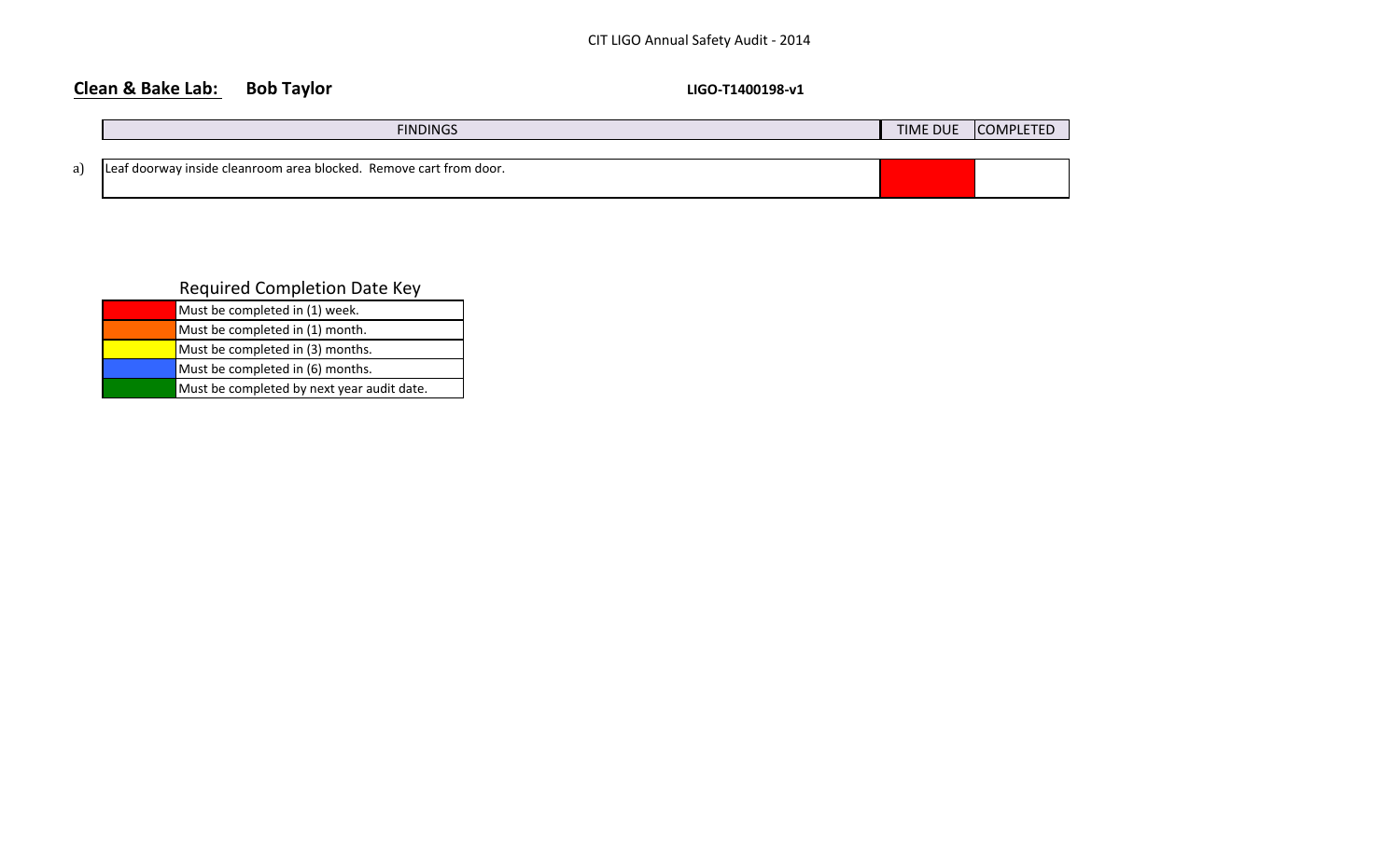## **Clean & Bake Lab:** Bob Taylor **Bob Taylor LIGO4T1400198-v1**

| <b>FINDINGS</b>                                                    | <b>TIME DUE</b> | <b>COMPLETED</b> |
|--------------------------------------------------------------------|-----------------|------------------|
|                                                                    |                 |                  |
| Leaf doorway inside cleanroom area blocked. Remove cart from door. |                 |                  |
|                                                                    |                 |                  |

| Must be completed in (1) week.             |
|--------------------------------------------|
| Must be completed in (1) month.            |
| Must be completed in (3) months.           |
| Must be completed in (6) months.           |
| Must be completed by next year audit date. |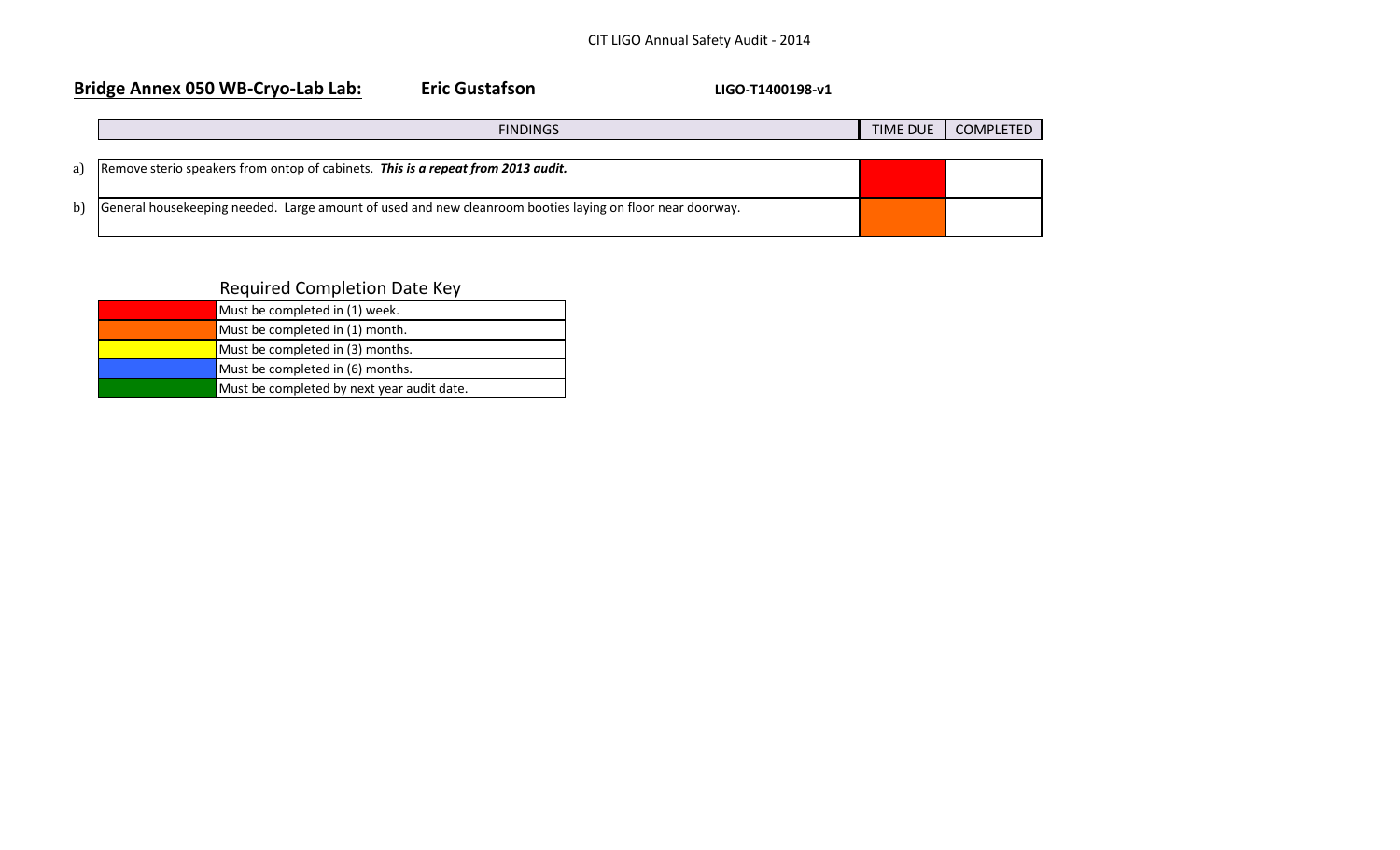| Bridge Annex 050 WB-Cryo-Lab Lab: |                                                                                                           | <b>Eric Gustafson</b> | LIGO-T1400198-v1 |          |                  |
|-----------------------------------|-----------------------------------------------------------------------------------------------------------|-----------------------|------------------|----------|------------------|
|                                   |                                                                                                           | <b>FINDINGS</b>       |                  | TIME DUE | <b>COMPLETED</b> |
| a)                                | Remove sterio speakers from ontop of cabinets. This is a repeat from 2013 audit.                          |                       |                  |          |                  |
| b                                 | General housekeeping needed. Large amount of used and new cleanroom booties laying on floor near doorway. |                       |                  |          |                  |

| Must be completed in (1) week.             |
|--------------------------------------------|
| Must be completed in (1) month.            |
| Must be completed in (3) months.           |
| Must be completed in (6) months.           |
| Must be completed by next year audit date. |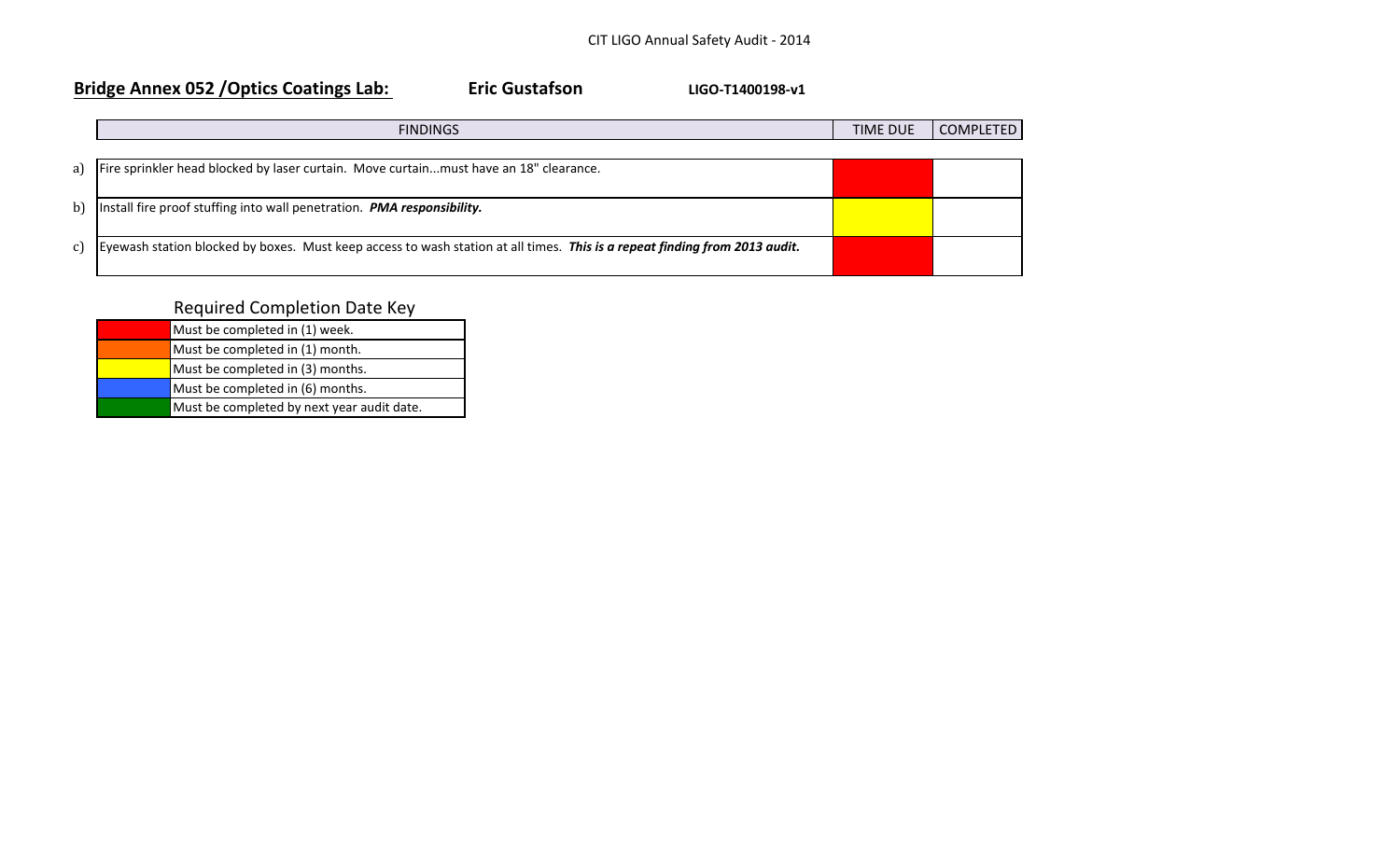## Bridge Annex 052 / Optics Coatings Lab: The Custafson The Custafson LIGO-T1400198-v1

|    | <b>FINDINGS</b>                                                                                                            | <b>TIME DUE</b> | <b>COMPLETED</b> |
|----|----------------------------------------------------------------------------------------------------------------------------|-----------------|------------------|
| a) | Fire sprinkler head blocked by laser curtain. Move curtainmust have an 18" clearance.                                      |                 |                  |
| b  | Install fire proof stuffing into wall penetration. PMA responsibility.                                                     |                 |                  |
| C) | Eyewash station blocked by boxes. Must keep access to wash station at all times. This is a repeat finding from 2013 audit. |                 |                  |

| Must be completed in (1) week.             |
|--------------------------------------------|
| Must be completed in (1) month.            |
| Must be completed in (3) months.           |
| Must be completed in (6) months.           |
| Must be completed by next year audit date. |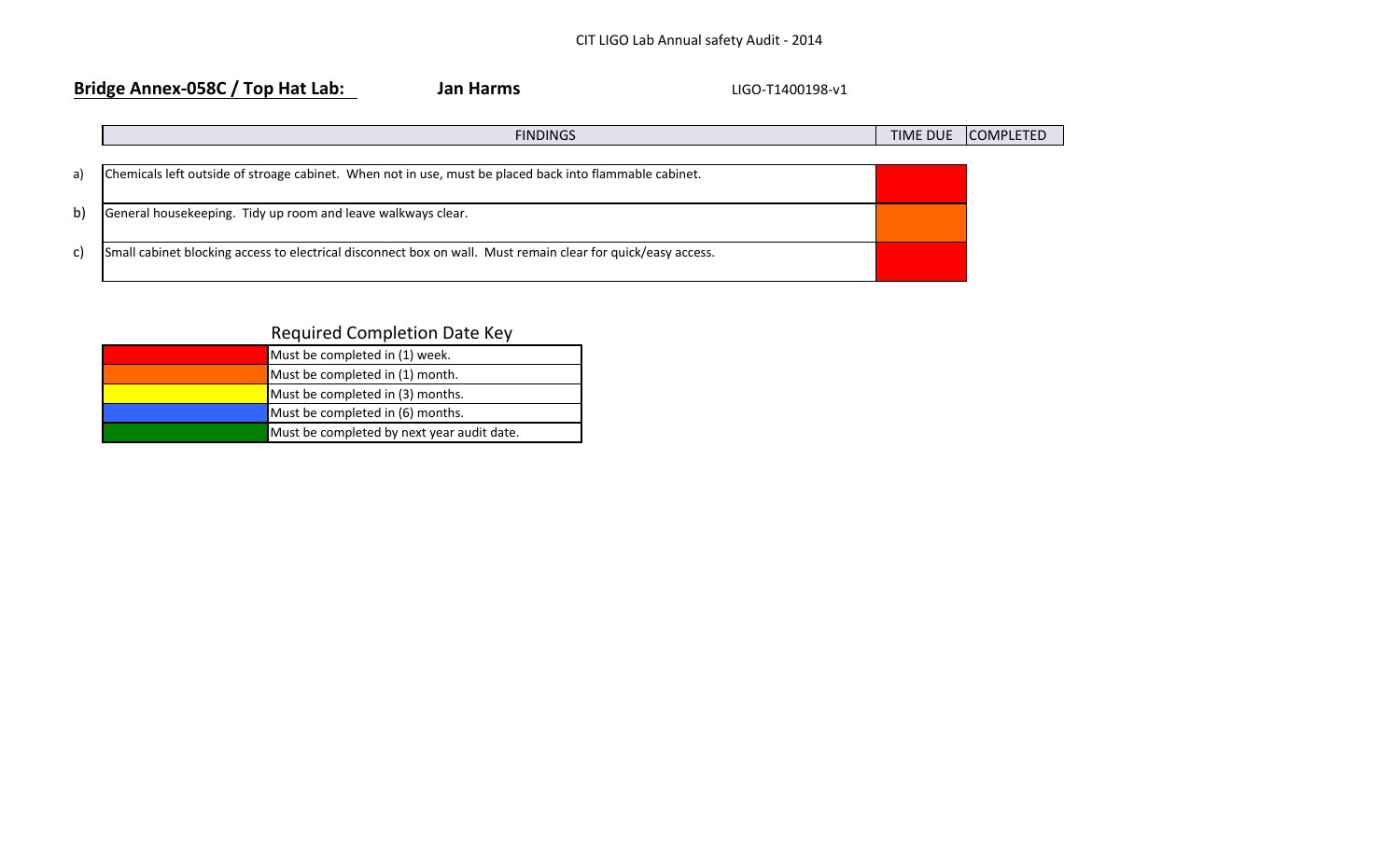## **Bridge Annex-058C / Top Hat Lab:** Jan Harms **LIGO-T1400198-v1**

|    | <b>FINDINGS</b>                                                                                              | <b>TIME DUE</b> | <b>COMPLETED</b> |
|----|--------------------------------------------------------------------------------------------------------------|-----------------|------------------|
|    |                                                                                                              |                 |                  |
| a) | Chemicals left outside of stroage cabinet. When not in use, must be placed back into flammable cabinet.      |                 |                  |
|    |                                                                                                              |                 |                  |
| b) | General housekeeping. Tidy up room and leave walkways clear.                                                 |                 |                  |
|    |                                                                                                              |                 |                  |
| C) | Small cabinet blocking access to electrical disconnect box on wall. Must remain clear for quick/easy access. |                 |                  |
|    |                                                                                                              |                 |                  |

| Must be completed in (1) week.             |
|--------------------------------------------|
| Must be completed in (1) month.            |
| Must be completed in (3) months.           |
| Must be completed in (6) months.           |
| Must be completed by next year audit date. |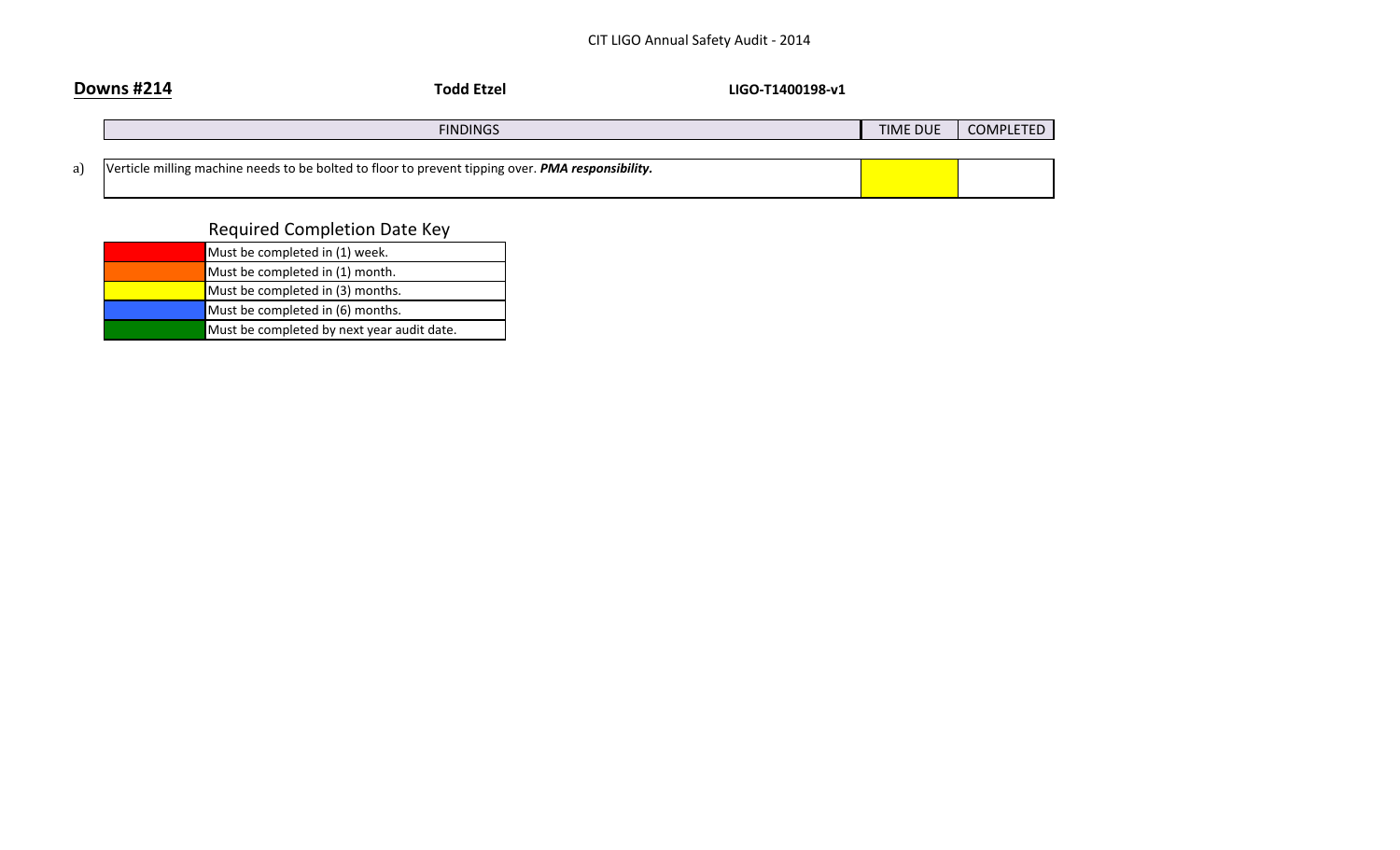|    | <b>Downs #214</b><br><b>Todd Etzel</b><br>LIGO-T1400198-v1                                        |          |           |
|----|---------------------------------------------------------------------------------------------------|----------|-----------|
|    | <b>FINDINGS</b>                                                                                   | TIME DUE | COMPLETED |
| a) | Verticle milling machine needs to be bolted to floor to prevent tipping over. PMA responsibility. |          |           |

| Must be completed in (1) week.             |
|--------------------------------------------|
| Must be completed in (1) month.            |
| Must be completed in (3) months.           |
| Must be completed in (6) months.           |
| Must be completed by next year audit date. |